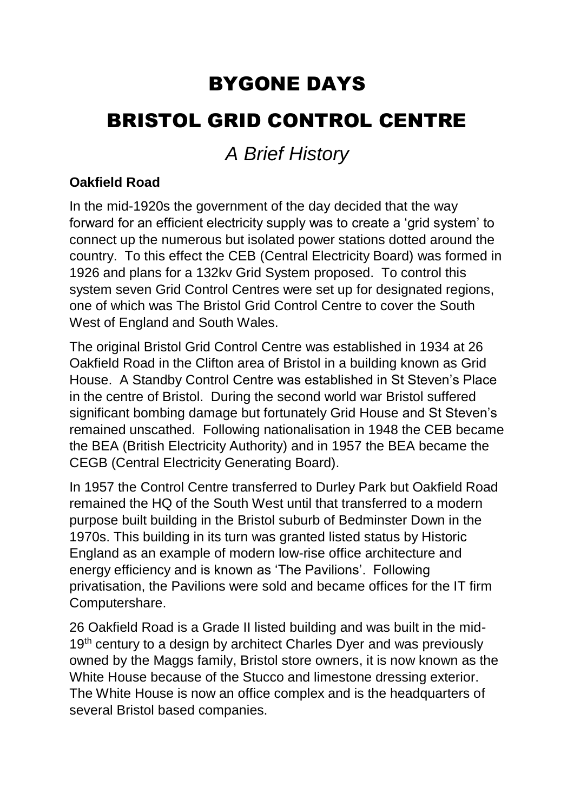# BYGONE DAYS BRISTOL GRID CONTROL CENTRE

# *A Brief History*

## **Oakfield Road**

In the mid-1920s the government of the day decided that the way forward for an efficient electricity supply was to create a 'grid system' to connect up the numerous but isolated power stations dotted around the country. To this effect the CEB (Central Electricity Board) was formed in 1926 and plans for a 132kv Grid System proposed. To control this system seven Grid Control Centres were set up for designated regions, one of which was The Bristol Grid Control Centre to cover the South West of England and South Wales.

The original Bristol Grid Control Centre was established in 1934 at 26 Oakfield Road in the Clifton area of Bristol in a building known as Grid House. A Standby Control Centre was established in St Steven's Place in the centre of Bristol. During the second world war Bristol suffered significant bombing damage but fortunately Grid House and St Steven's remained unscathed. Following nationalisation in 1948 the CEB became the BEA (British Electricity Authority) and in 1957 the BEA became the CEGB (Central Electricity Generating Board).

In 1957 the Control Centre transferred to Durley Park but Oakfield Road remained the HQ of the South West until that transferred to a modern purpose built building in the Bristol suburb of Bedminster Down in the 1970s. This building in its turn was granted listed status by Historic England as an example of modern low-rise office architecture and energy efficiency and is known as 'The Pavilions'. Following privatisation, the Pavilions were sold and became offices for the IT firm Computershare.

26 Oakfield Road is a Grade II listed building and was built in the mid-19<sup>th</sup> century to a design by architect Charles Dyer and was previously owned by the Maggs family, Bristol store owners, it is now known as the White House because of the Stucco and limestone dressing exterior. The White House is now an office complex and is the headquarters of several Bristol based companies.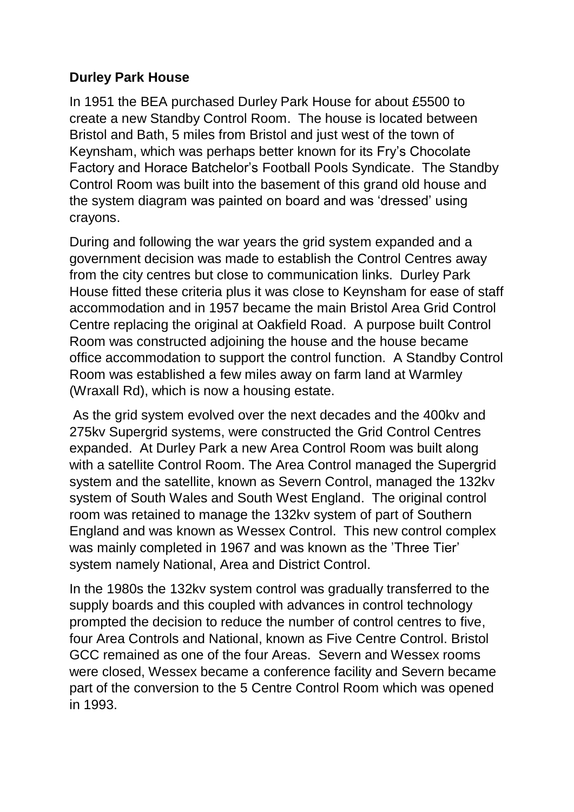### **Durley Park House**

In 1951 the BEA purchased Durley Park House for about £5500 to create a new Standby Control Room. The house is located between Bristol and Bath, 5 miles from Bristol and just west of the town of Keynsham, which was perhaps better known for its Fry's Chocolate Factory and Horace Batchelor's Football Pools Syndicate. The Standby Control Room was built into the basement of this grand old house and the system diagram was painted on board and was 'dressed' using crayons.

During and following the war years the grid system expanded and a government decision was made to establish the Control Centres away from the city centres but close to communication links. Durley Park House fitted these criteria plus it was close to Keynsham for ease of staff accommodation and in 1957 became the main Bristol Area Grid Control Centre replacing the original at Oakfield Road. A purpose built Control Room was constructed adjoining the house and the house became office accommodation to support the control function. A Standby Control Room was established a few miles away on farm land at Warmley (Wraxall Rd), which is now a housing estate.

As the grid system evolved over the next decades and the 400kv and 275kv Supergrid systems, were constructed the Grid Control Centres expanded. At Durley Park a new Area Control Room was built along with a satellite Control Room. The Area Control managed the Supergrid system and the satellite, known as Severn Control, managed the 132kv system of South Wales and South West England. The original control room was retained to manage the 132kv system of part of Southern England and was known as Wessex Control. This new control complex was mainly completed in 1967 and was known as the 'Three Tier' system namely National, Area and District Control.

In the 1980s the 132kv system control was gradually transferred to the supply boards and this coupled with advances in control technology prompted the decision to reduce the number of control centres to five, four Area Controls and National, known as Five Centre Control. Bristol GCC remained as one of the four Areas. Severn and Wessex rooms were closed, Wessex became a conference facility and Severn became part of the conversion to the 5 Centre Control Room which was opened in 1993.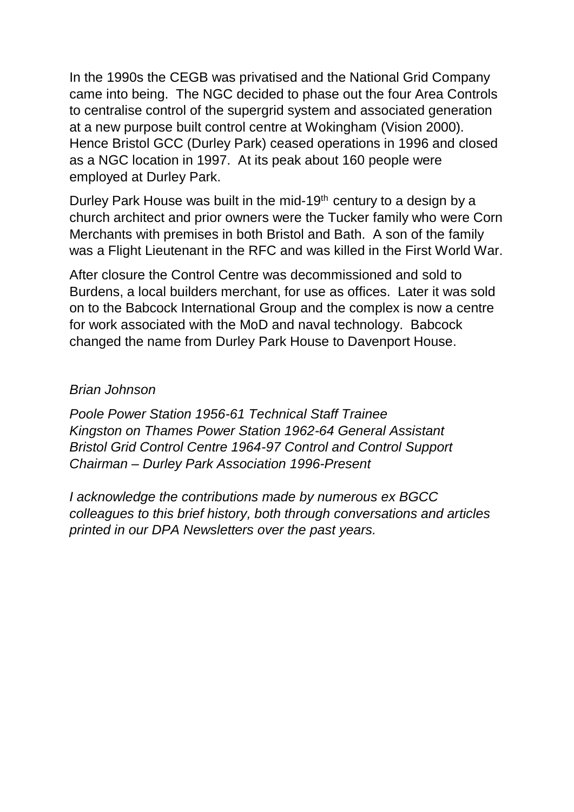In the 1990s the CEGB was privatised and the National Grid Company came into being. The NGC decided to phase out the four Area Controls to centralise control of the supergrid system and associated generation at a new purpose built control centre at Wokingham (Vision 2000). Hence Bristol GCC (Durley Park) ceased operations in 1996 and closed as a NGC location in 1997. At its peak about 160 people were employed at Durley Park.

Durley Park House was built in the mid-19<sup>th</sup> century to a design by a church architect and prior owners were the Tucker family who were Corn Merchants with premises in both Bristol and Bath. A son of the family was a Flight Lieutenant in the RFC and was killed in the First World War.

After closure the Control Centre was decommissioned and sold to Burdens, a local builders merchant, for use as offices. Later it was sold on to the Babcock International Group and the complex is now a centre for work associated with the MoD and naval technology. Babcock changed the name from Durley Park House to Davenport House.

#### *Brian Johnson*

*Poole Power Station 1956-61 Technical Staff Trainee Kingston on Thames Power Station 1962-64 General Assistant Bristol Grid Control Centre 1964-97 Control and Control Support Chairman – Durley Park Association 1996-Present*

*I acknowledge the contributions made by numerous ex BGCC colleagues to this brief history, both through conversations and articles printed in our DPA Newsletters over the past years.*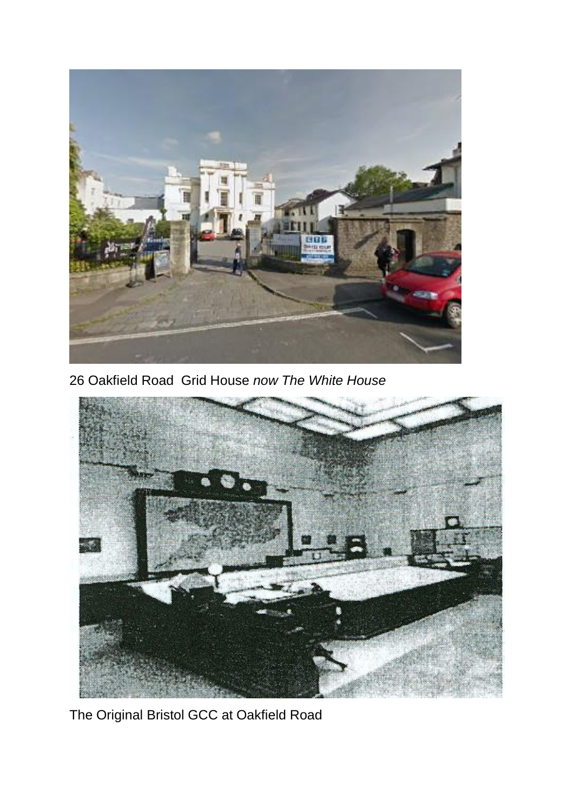

26 Oakfield Road Grid House *now The White House*



The Original Bristol GCC at Oakfield Road